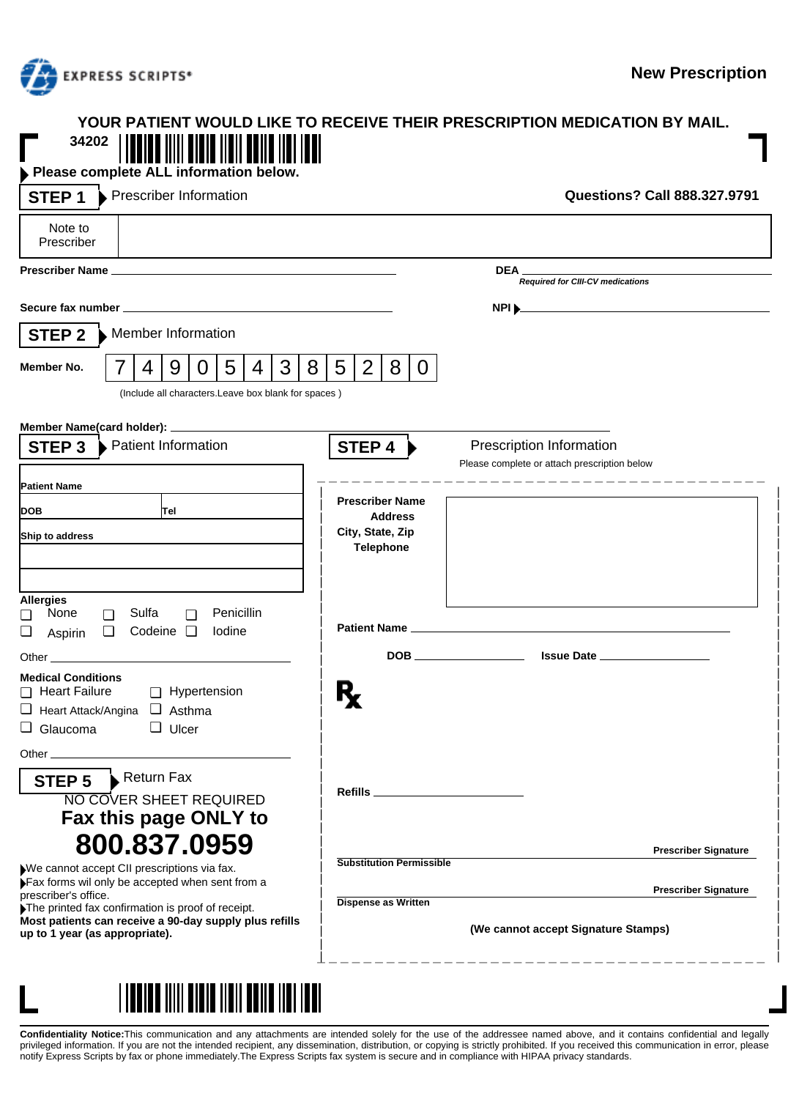

| YOUR PATIENT WOULD LIKE TO RECEIVE THEIR PRESCRIPTION MEDICATION BY MAIL.<br>34202<br>Please complete ALL information below.                                                                                                                                |                                                                       |                                                                          |                                     |
|-------------------------------------------------------------------------------------------------------------------------------------------------------------------------------------------------------------------------------------------------------------|-----------------------------------------------------------------------|--------------------------------------------------------------------------|-------------------------------------|
| Prescriber Information<br>STEP <sub>1</sub>                                                                                                                                                                                                                 |                                                                       |                                                                          | <b>Questions? Call 888.327.9791</b> |
| Note to<br>Prescriber                                                                                                                                                                                                                                       |                                                                       |                                                                          |                                     |
|                                                                                                                                                                                                                                                             |                                                                       | DEA_<br>Required for CIII-CV medications                                 |                                     |
|                                                                                                                                                                                                                                                             |                                                                       | NPI <sub>1</sub>                                                         |                                     |
| Member Information<br>STEP 2                                                                                                                                                                                                                                |                                                                       |                                                                          |                                     |
| 3 <sup>1</sup><br>5 <sup>1</sup><br>8 <sup>1</sup><br>9<br>4 <sup>1</sup><br>Member No.<br>7<br>4<br>$\overline{0}$                                                                                                                                         | 2 <sub>1</sub><br>$5\overline{)}$<br>8 <sup>1</sup><br>$\overline{0}$ |                                                                          |                                     |
| (Include all characters.Leave box blank for spaces)                                                                                                                                                                                                         |                                                                       |                                                                          |                                     |
|                                                                                                                                                                                                                                                             |                                                                       |                                                                          |                                     |
| ▶ Patient Information<br>STEP <sub>3</sub>                                                                                                                                                                                                                  | STEP 4                                                                | Prescription Information<br>Please complete or attach prescription below |                                     |
| <b>Patient Name</b>                                                                                                                                                                                                                                         |                                                                       |                                                                          |                                     |
| <b>DOB</b><br>Tel                                                                                                                                                                                                                                           | <b>Prescriber Name</b><br><b>Address</b>                              |                                                                          |                                     |
| Ship to address                                                                                                                                                                                                                                             | City, State, Zip<br><b>Telephone</b>                                  |                                                                          |                                     |
|                                                                                                                                                                                                                                                             |                                                                       |                                                                          |                                     |
| <b>Allergies</b>                                                                                                                                                                                                                                            |                                                                       |                                                                          |                                     |
| Penicillin<br>Sulfa<br>None<br>◻<br>◘<br>□                                                                                                                                                                                                                  |                                                                       |                                                                          |                                     |
| Codeine $\Box$<br>Iodine<br>❏<br>$\Box$<br>Aspirin                                                                                                                                                                                                          |                                                                       |                                                                          |                                     |
| Other experiences and the contract of the contract of the contract of the contract of the contract of the contract of the contract of the contract of the contract of the contract of the contract of the contract of the cont<br><b>Medical Conditions</b> |                                                                       |                                                                          |                                     |
| □ Heart Failure<br>Hypertension                                                                                                                                                                                                                             |                                                                       |                                                                          |                                     |
| Heart Attack/Angina 4 Asthma<br>$\Box$ Glaucoma<br>$\Box$ Ulcer                                                                                                                                                                                             |                                                                       |                                                                          |                                     |
| Other $_{-}$                                                                                                                                                                                                                                                |                                                                       |                                                                          |                                     |
| STEP 5 Return Fax                                                                                                                                                                                                                                           |                                                                       |                                                                          |                                     |
| <b>NO COVER SHEET REQUIRED</b>                                                                                                                                                                                                                              |                                                                       |                                                                          |                                     |
| Fax this page ONLY to                                                                                                                                                                                                                                       |                                                                       |                                                                          |                                     |
| 800.837.0959                                                                                                                                                                                                                                                |                                                                       |                                                                          | <b>Prescriber Signature</b>         |
| We cannot accept CII prescriptions via fax.<br>Fax forms wil only be accepted when sent from a                                                                                                                                                              | <b>Substitution Permissible</b>                                       |                                                                          |                                     |
| prescriber's office.<br>The printed fax confirmation is proof of receipt.                                                                                                                                                                                   | <b>Dispense as Written</b>                                            |                                                                          | <b>Prescriber Signature</b>         |
| Most patients can receive a 90-day supply plus refills<br>up to 1 year (as appropriate).                                                                                                                                                                    | (We cannot accept Signature Stamps)                                   |                                                                          |                                     |



**Confidentiality Notice:**This communication and any attachments are intended solely for the use of the addressee named above, and it contains confidential and legally<br>privileged information. If you are not the intended rec